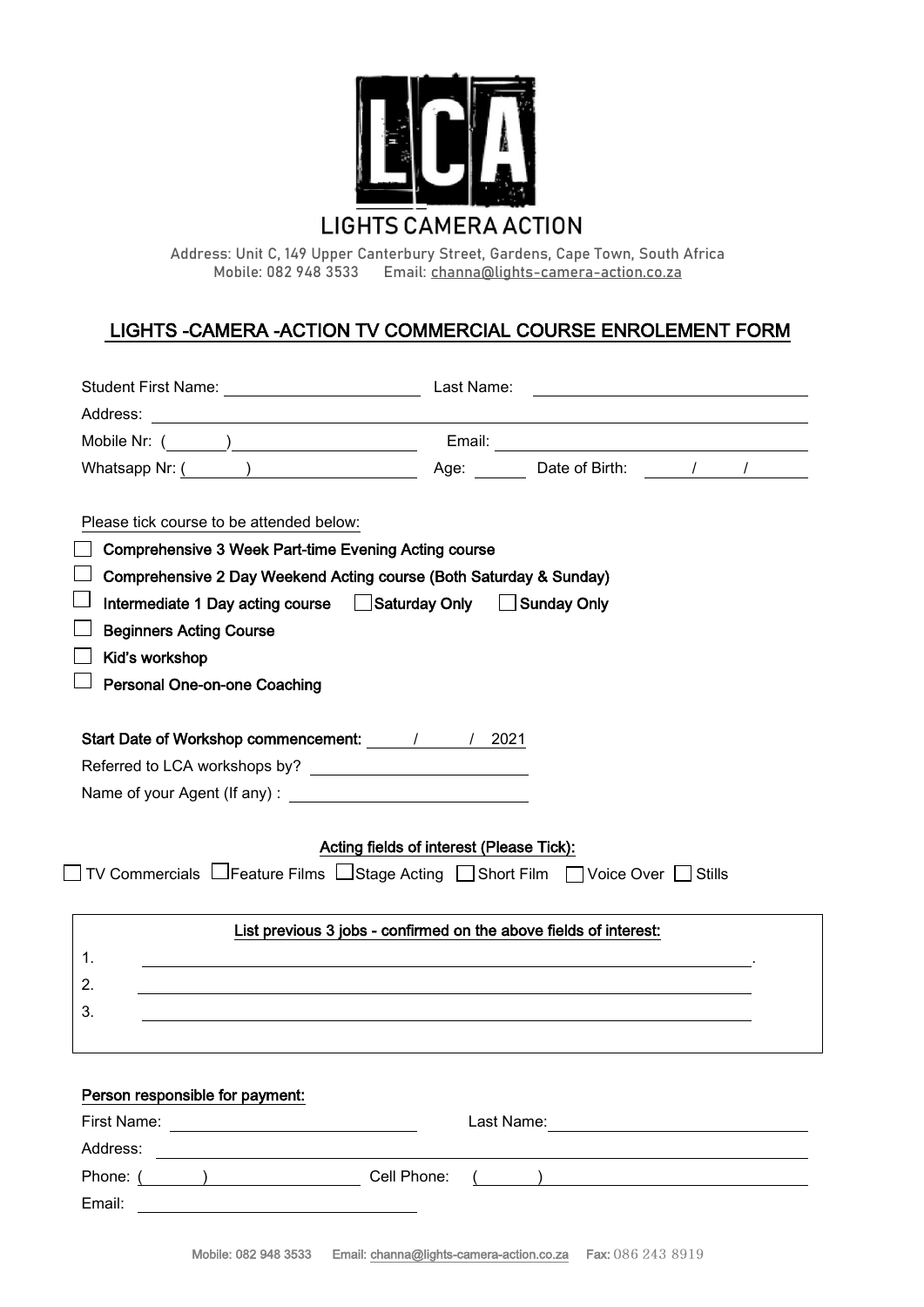

**Address: Unit C, 149 Upper Canterbury Street, Gardens, Cape Town, South Africa Mobile: 082 948 3533 Email: [channa@lights-camera-action.co.za](mailto:channa@lights-camera-action.co.za)** 

# LIGHTS -CAMERA -ACTION TV COMMERCIAL COURSE ENROLEMENT FORM

| Please tick course to be attended below:<br><b>Comprehensive 3 Week Part-time Evening Acting course</b><br>Comprehensive 2 Day Weekend Acting course (Both Saturday & Sunday)<br>Intermediate 1 Day acting course Saturday Only Sunday Only<br><b>Beginners Acting Course</b><br>Kid's workshop<br><b>Personal One-on-one Coaching</b> |                                                                                                                       |
|----------------------------------------------------------------------------------------------------------------------------------------------------------------------------------------------------------------------------------------------------------------------------------------------------------------------------------------|-----------------------------------------------------------------------------------------------------------------------|
| Start Date of Workshop commencement: 11 / 2021<br>$\Box$ TV Commercials $\Box$ Feature Films $\Box$ Stage Acting $\Box$ Short Film $\Box$ Voice Over $\Box$ Stills                                                                                                                                                                     | Acting fields of interest (Please Tick):                                                                              |
|                                                                                                                                                                                                                                                                                                                                        |                                                                                                                       |
|                                                                                                                                                                                                                                                                                                                                        | List previous 3 jobs - confirmed on the above fields of interest:                                                     |
| 1.                                                                                                                                                                                                                                                                                                                                     | <u> 1989 - Jan Samuel Barbara, margaret e seu a contrador de la contrador de la contrador de la contrador de la c</u> |
| 2.                                                                                                                                                                                                                                                                                                                                     |                                                                                                                       |
| 3.                                                                                                                                                                                                                                                                                                                                     |                                                                                                                       |

Email: